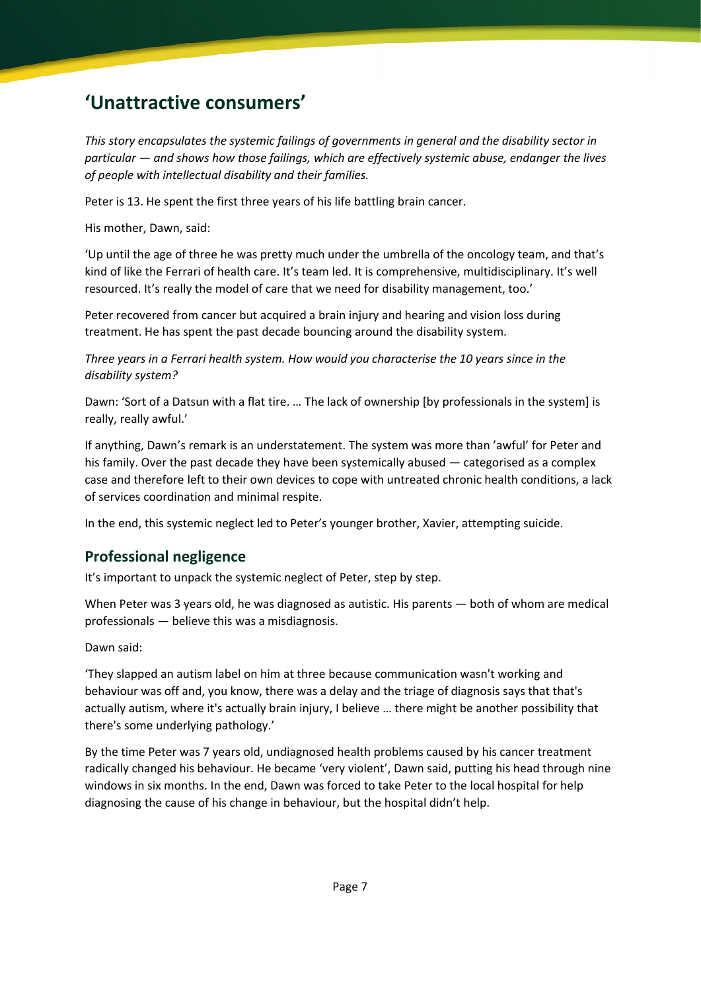# 'Unattractive consumers'

This story encapsulates the systemic failings of governments in general and the disability sector in particular — and shows how those failings, which are effectively systemic abuse, endanger the lives of people with intellectual disability and their families.

Peter is 13. He spent the first three years of his life battling brain cancer.

His mother, Dawn, said:

'Up until the age of three he was pretty much under the umbrella of the oncology team, and that's kind of like the Ferrari of health care. It's team led. It is comprehensive, multidisciplinary. It's well resourced. It's really the model of care that we need for disability management, too.'

Peter recovered from cancer but acquired a brain injury and hearing and vision loss during treatment. He has spent the past decade bouncing around the disability system.

Three years in a Ferrari health system. How would you characterise the 10 years since in the disability system?

Dawn: 'Sort of a Datsun with a flat tire. … The lack of ownership [by professionals in the system] is really, really awful.'

If anything, Dawn's remark is an understatement. The system was more than 'awful' for Peter and his family. Over the past decade they have been systemically abused — categorised as a complex case and therefore left to their own devices to cope with untreated chronic health conditions, a lack of services coordination and minimal respite.

In the end, this systemic neglect led to Peter's younger brother, Xavier, attempting suicide.

# Professional negligence

It's important to unpack the systemic neglect of Peter, step by step.

When Peter was 3 years old, he was diagnosed as autistic. His parents — both of whom are medical professionals — believe this was a misdiagnosis.

Dawn said:

'They slapped an autism label on him at three because communication wasn't working and behaviour was off and, you know, there was a delay and the triage of diagnosis says that that's actually autism, where it's actually brain injury, I believe … there might be another possibility that there's some underlying pathology.'

By the time Peter was 7 years old, undiagnosed health problems caused by his cancer treatment radically changed his behaviour. He became 'very violent', Dawn said, putting his head through nine windows in six months. In the end, Dawn was forced to take Peter to the local hospital for help diagnosing the cause of his change in behaviour, but the hospital didn't help.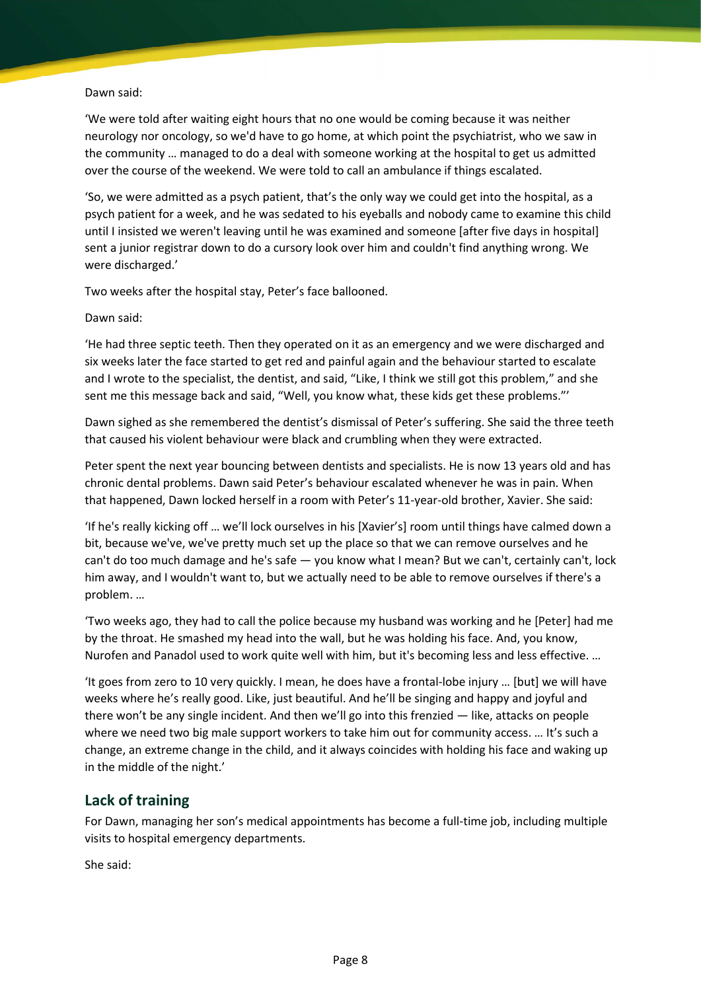#### Dawn said:

'We were told after waiting eight hours that no one would be coming because it was neither neurology nor oncology, so we'd have to go home, at which point the psychiatrist, who we saw in the community … managed to do a deal with someone working at the hospital to get us admitted over the course of the weekend. We were told to call an ambulance if things escalated.

'So, we were admitted as a psych patient, that's the only way we could get into the hospital, as a psych patient for a week, and he was sedated to his eyeballs and nobody came to examine this child until I insisted we weren't leaving until he was examined and someone [after five days in hospital] sent a junior registrar down to do a cursory look over him and couldn't find anything wrong. We were discharged.'

Two weeks after the hospital stay, Peter's face ballooned.

Dawn said:

'He had three septic teeth. Then they operated on it as an emergency and we were discharged and six weeks later the face started to get red and painful again and the behaviour started to escalate and I wrote to the specialist, the dentist, and said, "Like, I think we still got this problem," and she sent me this message back and said, "Well, you know what, these kids get these problems."'

Dawn sighed as she remembered the dentist's dismissal of Peter's suffering. She said the three teeth that caused his violent behaviour were black and crumbling when they were extracted.

Peter spent the next year bouncing between dentists and specialists. He is now 13 years old and has chronic dental problems. Dawn said Peter's behaviour escalated whenever he was in pain. When that happened, Dawn locked herself in a room with Peter's 11-year-old brother, Xavier. She said:

'If he's really kicking off … we'll lock ourselves in his [Xavier's] room until things have calmed down a bit, because we've, we've pretty much set up the place so that we can remove ourselves and he can't do too much damage and he's safe — you know what I mean? But we can't, certainly can't, lock him away, and I wouldn't want to, but we actually need to be able to remove ourselves if there's a problem. …

'Two weeks ago, they had to call the police because my husband was working and he [Peter] had me by the throat. He smashed my head into the wall, but he was holding his face. And, you know, Nurofen and Panadol used to work quite well with him, but it's becoming less and less effective. …

'It goes from zero to 10 very quickly. I mean, he does have a frontal-lobe injury … [but] we will have weeks where he's really good. Like, just beautiful. And he'll be singing and happy and joyful and there won't be any single incident. And then we'll go into this frenzied — like, attacks on people where we need two big male support workers to take him out for community access. ... It's such a change, an extreme change in the child, and it always coincides with holding his face and waking up in the middle of the night.'

## Lack of training

For Dawn, managing her son's medical appointments has become a full-time job, including multiple visits to hospital emergency departments.

She said: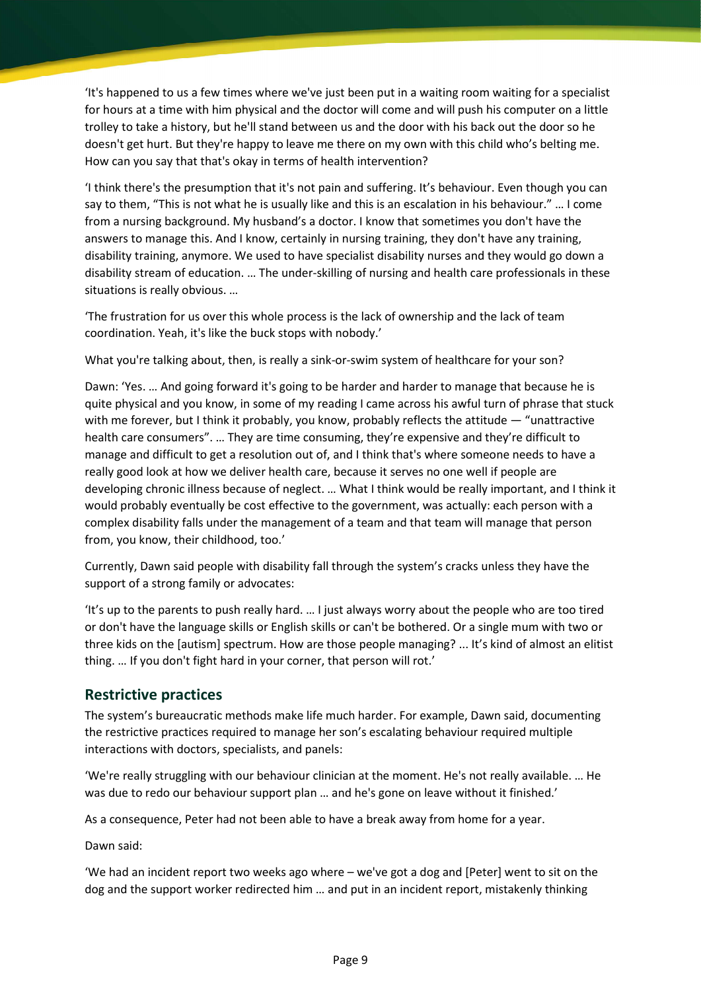'It's happened to us a few times where we've just been put in a waiting room waiting for a specialist for hours at a time with him physical and the doctor will come and will push his computer on a little trolley to take a history, but he'll stand between us and the door with his back out the door so he doesn't get hurt. But they're happy to leave me there on my own with this child who's belting me. How can you say that that's okay in terms of health intervention?

'I think there's the presumption that it's not pain and suffering. It's behaviour. Even though you can say to them, "This is not what he is usually like and this is an escalation in his behaviour." … I come from a nursing background. My husband's a doctor. I know that sometimes you don't have the answers to manage this. And I know, certainly in nursing training, they don't have any training, disability training, anymore. We used to have specialist disability nurses and they would go down a disability stream of education. … The under-skilling of nursing and health care professionals in these situations is really obvious. …

'The frustration for us over this whole process is the lack of ownership and the lack of team coordination. Yeah, it's like the buck stops with nobody.'

What you're talking about, then, is really a sink-or-swim system of healthcare for your son?

Dawn: 'Yes. … And going forward it's going to be harder and harder to manage that because he is quite physical and you know, in some of my reading I came across his awful turn of phrase that stuck with me forever, but I think it probably, you know, probably reflects the attitude — "unattractive health care consumers". ... They are time consuming, they're expensive and they're difficult to manage and difficult to get a resolution out of, and I think that's where someone needs to have a really good look at how we deliver health care, because it serves no one well if people are developing chronic illness because of neglect. … What I think would be really important, and I think it would probably eventually be cost effective to the government, was actually: each person with a complex disability falls under the management of a team and that team will manage that person from, you know, their childhood, too.'

Currently, Dawn said people with disability fall through the system's cracks unless they have the support of a strong family or advocates:

'It's up to the parents to push really hard. … I just always worry about the people who are too tired or don't have the language skills or English skills or can't be bothered. Or a single mum with two or three kids on the [autism] spectrum. How are those people managing? ... It's kind of almost an elitist thing. … If you don't fight hard in your corner, that person will rot.'

#### Restrictive practices

The system's bureaucratic methods make life much harder. For example, Dawn said, documenting the restrictive practices required to manage her son's escalating behaviour required multiple interactions with doctors, specialists, and panels:

'We're really struggling with our behaviour clinician at the moment. He's not really available. … He was due to redo our behaviour support plan … and he's gone on leave without it finished.'

As a consequence, Peter had not been able to have a break away from home for a year.

Dawn said:

'We had an incident report two weeks ago where – we've got a dog and [Peter] went to sit on the dog and the support worker redirected him … and put in an incident report, mistakenly thinking